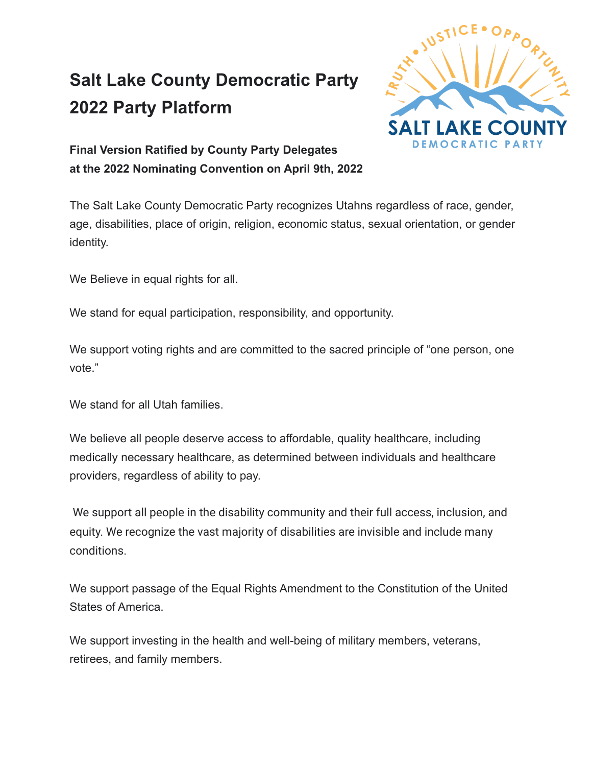## **Salt Lake County Democratic Party 2022 Party Platform**



**Final Version Ratified by County Party Delegates at the 2022 Nominating Convention on April 9th, 2022**

The Salt Lake County Democratic Party recognizes Utahns regardless of race, gender, age, disabilities, place of origin, religion, economic status, sexual orientation, or gender identity.

We Believe in equal rights for all.

We stand for equal participation, responsibility, and opportunity.

We support voting rights and are committed to the sacred principle of "one person, one vote."

We stand for all Utah families.

We believe all people deserve access to affordable, quality healthcare, including medically necessary healthcare, as determined between individuals and healthcare providers, regardless of ability to pay.

We support all people in the disability community and their full access, inclusion, and equity. We recognize the vast majority of disabilities are invisible and include many conditions.

We support passage of the Equal Rights Amendment to the Constitution of the United States of America.

We support investing in the health and well-being of military members, veterans, retirees, and family members.